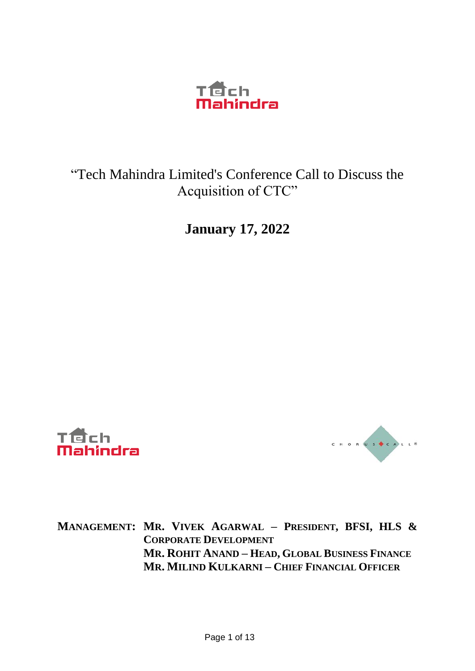

### "Tech Mahindra Limited's Conference Call to Discuss the Acquisition of CTC"

**January 17, 2022**





**MANAGEMENT: MR. VIVEK AGARWAL – PRESIDENT, BFSI, HLS & CORPORATE DEVELOPMENT MR. ROHIT ANAND – HEAD, GLOBAL BUSINESS FINANCE MR. MILIND KULKARNI – CHIEF FINANCIAL OFFICER**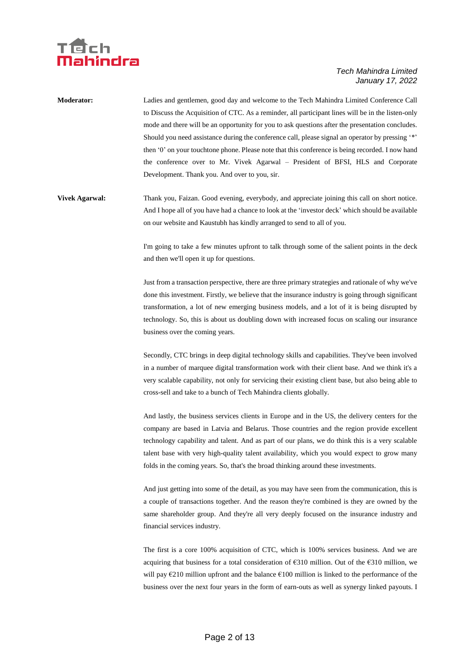

| <b>Moderator:</b> | Ladies and gentlemen, good day and welcome to the Tech Mahindra Limited Conference Call            |
|-------------------|----------------------------------------------------------------------------------------------------|
|                   | to Discuss the Acquisition of CTC. As a reminder, all participant lines will be in the listen-only |
|                   | mode and there will be an opportunity for you to ask questions after the presentation concludes.   |
|                   | Should you need assistance during the conference call, please signal an operator by pressing "*"   |
|                   | then '0' on your touchtone phone. Please note that this conference is being recorded. I now hand   |
|                   | the conference over to Mr. Vivek Agarwal – President of BFSI, HLS and Corporate                    |
|                   | Development. Thank you. And over to you, sir.                                                      |
|                   |                                                                                                    |

**Vivek Agarwal:** Thank you, Faizan. Good evening, everybody, and appreciate joining this call on short notice. And I hope all of you have had a chance to look at the 'investor deck' which should be available on our website and Kaustubh has kindly arranged to send to all of you.

> I'm going to take a few minutes upfront to talk through some of the salient points in the deck and then we'll open it up for questions.

> Just from a transaction perspective, there are three primary strategies and rationale of why we've done this investment. Firstly, we believe that the insurance industry is going through significant transformation, a lot of new emerging business models, and a lot of it is being disrupted by technology. So, this is about us doubling down with increased focus on scaling our insurance business over the coming years.

> Secondly, CTC brings in deep digital technology skills and capabilities. They've been involved in a number of marquee digital transformation work with their client base. And we think it's a very scalable capability, not only for servicing their existing client base, but also being able to cross-sell and take to a bunch of Tech Mahindra clients globally.

> And lastly, the business services clients in Europe and in the US, the delivery centers for the company are based in Latvia and Belarus. Those countries and the region provide excellent technology capability and talent. And as part of our plans, we do think this is a very scalable talent base with very high-quality talent availability, which you would expect to grow many folds in the coming years. So, that's the broad thinking around these investments.

> And just getting into some of the detail, as you may have seen from the communication, this is a couple of transactions together. And the reason they're combined is they are owned by the same shareholder group. And they're all very deeply focused on the insurance industry and financial services industry.

> The first is a core 100% acquisition of CTC, which is 100% services business. And we are acquiring that business for a total consideration of €310 million. Out of the €310 million, we will pay  $\epsilon$ 210 million upfront and the balance  $\epsilon$ 100 million is linked to the performance of the business over the next four years in the form of earn-outs as well as synergy linked payouts. I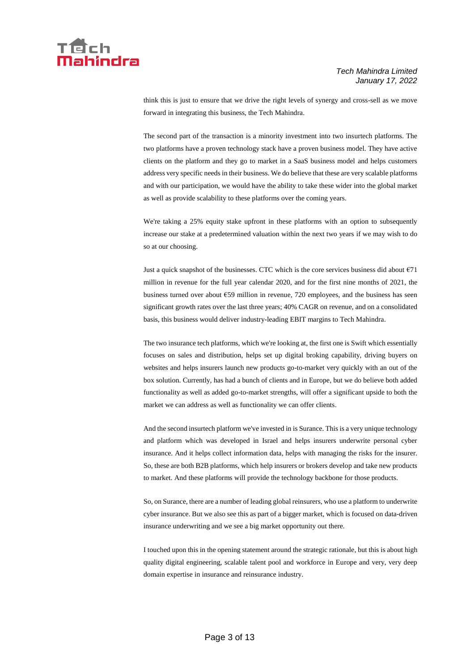

think this is just to ensure that we drive the right levels of synergy and cross-sell as we move forward in integrating this business, the Tech Mahindra.

The second part of the transaction is a minority investment into two insurtech platforms. The two platforms have a proven technology stack have a proven business model. They have active clients on the platform and they go to market in a SaaS business model and helps customers address very specific needs in their business. We do believe that these are very scalable platforms and with our participation, we would have the ability to take these wider into the global market as well as provide scalability to these platforms over the coming years.

We're taking a 25% equity stake upfront in these platforms with an option to subsequently increase our stake at a predetermined valuation within the next two years if we may wish to do so at our choosing.

Just a quick snapshot of the businesses. CTC which is the core services business did about  $\epsilon$ 71 million in revenue for the full year calendar 2020, and for the first nine months of 2021, the business turned over about  $E59$  million in revenue, 720 employees, and the business has seen significant growth rates over the last three years; 40% CAGR on revenue, and on a consolidated basis, this business would deliver industry-leading EBIT margins to Tech Mahindra.

The two insurance tech platforms, which we're looking at, the first one is Swift which essentially focuses on sales and distribution, helps set up digital broking capability, driving buyers on websites and helps insurers launch new products go-to-market very quickly with an out of the box solution. Currently, has had a bunch of clients and in Europe, but we do believe both added functionality as well as added go-to-market strengths, will offer a significant upside to both the market we can address as well as functionality we can offer clients.

And the second insurtech platform we've invested in is Surance. This is a very unique technology and platform which was developed in Israel and helps insurers underwrite personal cyber insurance. And it helps collect information data, helps with managing the risks for the insurer. So, these are both B2B platforms, which help insurers or brokers develop and take new products to market. And these platforms will provide the technology backbone for those products.

So, on Surance, there are a number of leading global reinsurers, who use a platform to underwrite cyber insurance. But we also see this as part of a bigger market, which is focused on data-driven insurance underwriting and we see a big market opportunity out there.

I touched upon this in the opening statement around the strategic rationale, but this is about high quality digital engineering, scalable talent pool and workforce in Europe and very, very deep domain expertise in insurance and reinsurance industry.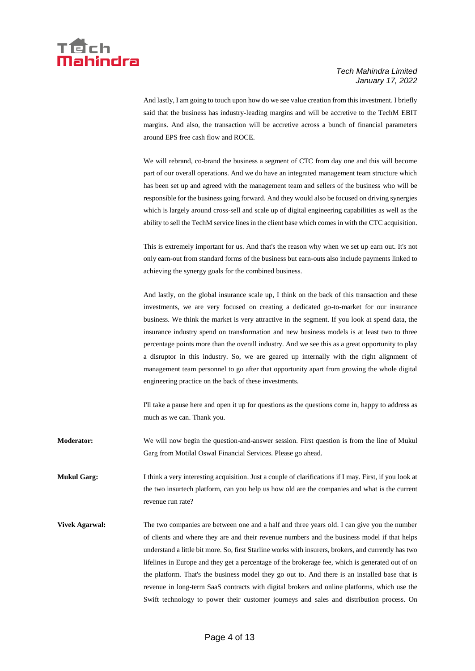

And lastly, I am going to touch upon how do we see value creation from this investment. I briefly said that the business has industry-leading margins and will be accretive to the TechM EBIT margins. And also, the transaction will be accretive across a bunch of financial parameters around EPS free cash flow and ROCE.

We will rebrand, co-brand the business a segment of CTC from day one and this will become part of our overall operations. And we do have an integrated management team structure which has been set up and agreed with the management team and sellers of the business who will be responsible for the business going forward. And they would also be focused on driving synergies which is largely around cross-sell and scale up of digital engineering capabilities as well as the ability to sell the TechM service lines in the client base which comes in with the CTC acquisition.

This is extremely important for us. And that's the reason why when we set up earn out. It's not only earn-out from standard forms of the business but earn-outs also include payments linked to achieving the synergy goals for the combined business.

And lastly, on the global insurance scale up, I think on the back of this transaction and these investments, we are very focused on creating a dedicated go-to-market for our insurance business. We think the market is very attractive in the segment. If you look at spend data, the insurance industry spend on transformation and new business models is at least two to three percentage points more than the overall industry. And we see this as a great opportunity to play a disruptor in this industry. So, we are geared up internally with the right alignment of management team personnel to go after that opportunity apart from growing the whole digital engineering practice on the back of these investments.

I'll take a pause here and open it up for questions as the questions come in, happy to address as much as we can. Thank you.

**Moderator:** We will now begin the question-and-answer session. First question is from the line of Mukul Garg from Motilal Oswal Financial Services. Please go ahead.

**Mukul Garg:** I think a very interesting acquisition. Just a couple of clarifications if I may. First, if you look at the two insurtech platform, can you help us how old are the companies and what is the current revenue run rate?

**Vivek Agarwal:** The two companies are between one and a half and three years old. I can give you the number of clients and where they are and their revenue numbers and the business model if that helps understand a little bit more. So, first Starline works with insurers, brokers, and currently has two lifelines in Europe and they get a percentage of the brokerage fee, which is generated out of on the platform. That's the business model they go out to. And there is an installed base that is revenue in long-term SaaS contracts with digital brokers and online platforms, which use the Swift technology to power their customer journeys and sales and distribution process. On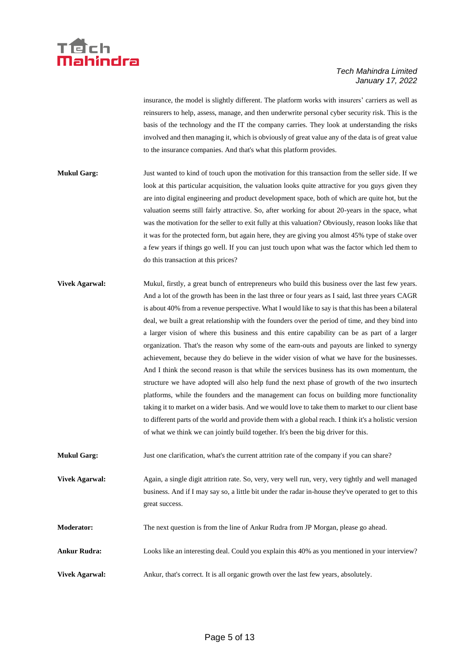

insurance, the model is slightly different. The platform works with insurers' carriers as well as reinsurers to help, assess, manage, and then underwrite personal cyber security risk. This is the basis of the technology and the IT the company carries. They look at understanding the risks involved and then managing it, which is obviously of great value any of the data is of great value to the insurance companies. And that's what this platform provides.

- **Mukul Garg:** Just wanted to kind of touch upon the motivation for this transaction from the seller side. If we look at this particular acquisition, the valuation looks quite attractive for you guys given they are into digital engineering and product development space, both of which are quite hot, but the valuation seems still fairly attractive. So, after working for about 20-years in the space, what was the motivation for the seller to exit fully at this valuation? Obviously, reason looks like that it was for the protected form, but again here, they are giving you almost 45% type of stake over a few years if things go well. If you can just touch upon what was the factor which led them to do this transaction at this prices?
- **Vivek Agarwal:** Mukul, firstly, a great bunch of entrepreneurs who build this business over the last few years. And a lot of the growth has been in the last three or four years as I said, last three years CAGR is about 40% from a revenue perspective. What I would like to say is that this has been a bilateral deal, we built a great relationship with the founders over the period of time, and they bind into a larger vision of where this business and this entire capability can be as part of a larger organization. That's the reason why some of the earn-outs and payouts are linked to synergy achievement, because they do believe in the wider vision of what we have for the businesses. And I think the second reason is that while the services business has its own momentum, the structure we have adopted will also help fund the next phase of growth of the two insurtech platforms, while the founders and the management can focus on building more functionality taking it to market on a wider basis. And we would love to take them to market to our client base to different parts of the world and provide them with a global reach. I think it's a holistic version of what we think we can jointly build together. It's been the big driver for this.
- **Mukul Garg:** Just one clarification, what's the current attrition rate of the company if you can share?
- **Vivek Agarwal:** Again, a single digit attrition rate. So, very, very well run, very, very tightly and well managed business. And if I may say so, a little bit under the radar in-house they've operated to get to this great success.
- **Moderator:** The next question is from the line of Ankur Rudra from JP Morgan, please go ahead.
- **Ankur Rudra:** Looks like an interesting deal. Could you explain this 40% as you mentioned in your interview?
- **Vivek Agarwal:** Ankur, that's correct. It is all organic growth over the last few years, absolutely.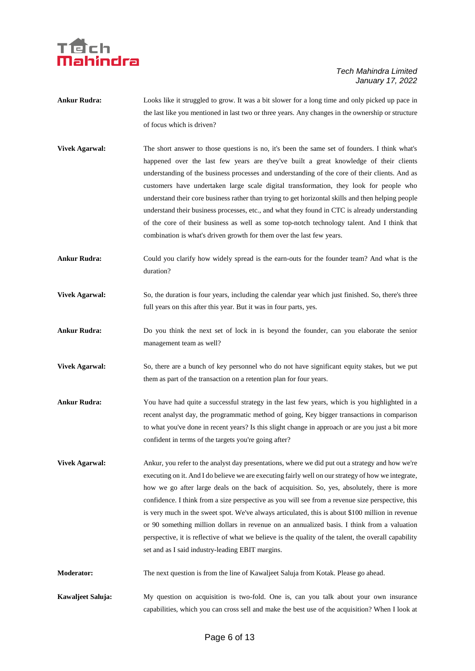## ech

- **Ankur Rudra:** Looks like it struggled to grow. It was a bit slower for a long time and only picked up pace in the last like you mentioned in last two or three years. Any changes in the ownership or structure of focus which is driven?
- **Vivek Agarwal:** The short answer to those questions is no, it's been the same set of founders. I think what's happened over the last few years are they've built a great knowledge of their clients understanding of the business processes and understanding of the core of their clients. And as customers have undertaken large scale digital transformation, they look for people who understand their core business rather than trying to get horizontal skills and then helping people understand their business processes, etc., and what they found in CTC is already understanding of the core of their business as well as some top-notch technology talent. And I think that combination is what's driven growth for them over the last few years.
- **Ankur Rudra:** Could you clarify how widely spread is the earn-outs for the founder team? And what is the duration?
- **Vivek Agarwal:** So, the duration is four years, including the calendar year which just finished. So, there's three full years on this after this year. But it was in four parts, yes.
- **Ankur Rudra:** Do you think the next set of lock in is beyond the founder, can you elaborate the senior management team as well?
- **Vivek Agarwal:** So, there are a bunch of key personnel who do not have significant equity stakes, but we put them as part of the transaction on a retention plan for four years.
- Ankur Rudra: You have had quite a successful strategy in the last few years, which is you highlighted in a recent analyst day, the programmatic method of going, Key bigger transactions in comparison to what you've done in recent years? Is this slight change in approach or are you just a bit more confident in terms of the targets you're going after?
- **Vivek Agarwal:** Ankur, you refer to the analyst day presentations, where we did put out a strategy and how we're executing on it. And I do believe we are executing fairly well on our strategy of how we integrate, how we go after large deals on the back of acquisition. So, yes, absolutely, there is more confidence. I think from a size perspective as you will see from a revenue size perspective, this is very much in the sweet spot. We've always articulated, this is about \$100 million in revenue or 90 something million dollars in revenue on an annualized basis. I think from a valuation perspective, it is reflective of what we believe is the quality of the talent, the overall capability set and as I said industry-leading EBIT margins.
- **Moderator:** The next question is from the line of Kawaljeet Saluja from Kotak. Please go ahead.
- **Kawaljeet Saluja:** My question on acquisition is two-fold. One is, can you talk about your own insurance capabilities, which you can cross sell and make the best use of the acquisition? When I look at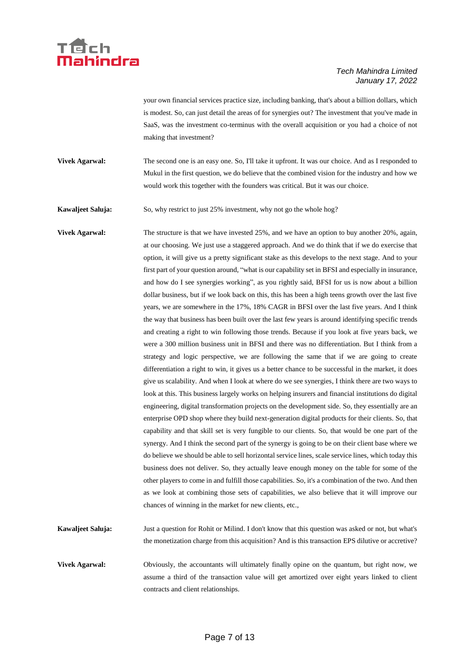

your own financial services practice size, including banking, that's about a billion dollars, which is modest. So, can just detail the areas of for synergies out? The investment that you've made in SaaS, was the investment co-terminus with the overall acquisition or you had a choice of not making that investment?

**Vivek Agarwal:** The second one is an easy one. So, I'll take it upfront. It was our choice. And as I responded to Mukul in the first question, we do believe that the combined vision for the industry and how we would work this together with the founders was critical. But it was our choice.

**Kawaljeet Saluja:** So, why restrict to just 25% investment, why not go the whole hog?

**Vivek Agarwal:** The structure is that we have invested 25%, and we have an option to buy another 20%, again, at our choosing. We just use a staggered approach. And we do think that if we do exercise that option, it will give us a pretty significant stake as this develops to the next stage. And to your first part of your question around, "what is our capability set in BFSI and especially in insurance, and how do I see synergies working", as you rightly said, BFSI for us is now about a billion dollar business, but if we look back on this, this has been a high teens growth over the last five years, we are somewhere in the 17%, 18% CAGR in BFSI over the last five years. And I think the way that business has been built over the last few years is around identifying specific trends and creating a right to win following those trends. Because if you look at five years back, we were a 300 million business unit in BFSI and there was no differentiation. But I think from a strategy and logic perspective, we are following the same that if we are going to create differentiation a right to win, it gives us a better chance to be successful in the market, it does give us scalability. And when I look at where do we see synergies, I think there are two ways to look at this. This business largely works on helping insurers and financial institutions do digital engineering, digital transformation projects on the development side. So, they essentially are an enterprise OPD shop where they build next-generation digital products for their clients. So, that capability and that skill set is very fungible to our clients. So, that would be one part of the synergy. And I think the second part of the synergy is going to be on their client base where we do believe we should be able to sell horizontal service lines, scale service lines, which today this business does not deliver. So, they actually leave enough money on the table for some of the other players to come in and fulfill those capabilities. So, it's a combination of the two. And then as we look at combining those sets of capabilities, we also believe that it will improve our chances of winning in the market for new clients, etc.,

**Kawaljeet Saluja:** Just a question for Rohit or Milind. I don't know that this question was asked or not, but what's the monetization charge from this acquisition? And is this transaction EPS dilutive or accretive?

**Vivek Agarwal:** Obviously, the accountants will ultimately finally opine on the quantum, but right now, we assume a third of the transaction value will get amortized over eight years linked to client contracts and client relationships.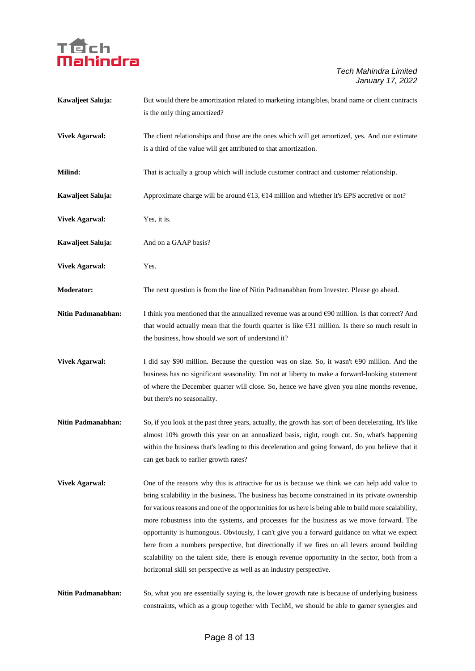

| Kawaljeet Saluja:         | But would there be amortization related to marketing intangibles, brand name or client contracts<br>is the only thing amortized?                                                                                                                                                                                                                                                                                                                                                                                                                                                                                                                                                                                                                                              |
|---------------------------|-------------------------------------------------------------------------------------------------------------------------------------------------------------------------------------------------------------------------------------------------------------------------------------------------------------------------------------------------------------------------------------------------------------------------------------------------------------------------------------------------------------------------------------------------------------------------------------------------------------------------------------------------------------------------------------------------------------------------------------------------------------------------------|
| <b>Vivek Agarwal:</b>     | The client relationships and those are the ones which will get amortized, yes. And our estimate<br>is a third of the value will get attributed to that amortization.                                                                                                                                                                                                                                                                                                                                                                                                                                                                                                                                                                                                          |
| Milind:                   | That is actually a group which will include customer contract and customer relationship.                                                                                                                                                                                                                                                                                                                                                                                                                                                                                                                                                                                                                                                                                      |
| Kawaljeet Saluja:         | Approximate charge will be around $\epsilon$ 13, $\epsilon$ 14 million and whether it's EPS accretive or not?                                                                                                                                                                                                                                                                                                                                                                                                                                                                                                                                                                                                                                                                 |
| <b>Vivek Agarwal:</b>     | Yes, it is.                                                                                                                                                                                                                                                                                                                                                                                                                                                                                                                                                                                                                                                                                                                                                                   |
| Kawaljeet Saluja:         | And on a GAAP basis?                                                                                                                                                                                                                                                                                                                                                                                                                                                                                                                                                                                                                                                                                                                                                          |
| <b>Vivek Agarwal:</b>     | Yes.                                                                                                                                                                                                                                                                                                                                                                                                                                                                                                                                                                                                                                                                                                                                                                          |
| <b>Moderator:</b>         | The next question is from the line of Nitin Padmanabhan from Investec. Please go ahead.                                                                                                                                                                                                                                                                                                                                                                                                                                                                                                                                                                                                                                                                                       |
| Nitin Padmanabhan:        | I think you mentioned that the annualized revenue was around $E90$ million. Is that correct? And<br>that would actually mean that the fourth quarter is like $631$ million. Is there so much result in<br>the business, how should we sort of understand it?                                                                                                                                                                                                                                                                                                                                                                                                                                                                                                                  |
| <b>Vivek Agarwal:</b>     | I did say \$90 million. Because the question was on size. So, it wasn't $\epsilon$ 90 million. And the<br>business has no significant seasonality. I'm not at liberty to make a forward-looking statement<br>of where the December quarter will close. So, hence we have given you nine months revenue,<br>but there's no seasonality.                                                                                                                                                                                                                                                                                                                                                                                                                                        |
| <b>Nitin Padmanabhan:</b> | So, if you look at the past three years, actually, the growth has sort of been decelerating. It's like<br>almost 10% growth this year on an annualized basis, right, rough cut. So, what's happening<br>within the business that's leading to this deceleration and going forward, do you believe that it<br>can get back to earlier growth rates?                                                                                                                                                                                                                                                                                                                                                                                                                            |
| <b>Vivek Agarwal:</b>     | One of the reasons why this is attractive for us is because we think we can help add value to<br>bring scalability in the business. The business has become constrained in its private ownership<br>for various reasons and one of the opportunities for us here is being able to build more scalability,<br>more robustness into the systems, and processes for the business as we move forward. The<br>opportunity is humongous. Obviously, I can't give you a forward guidance on what we expect<br>here from a numbers perspective, but directionally if we fires on all levers around building<br>scalability on the talent side, there is enough revenue opportunity in the sector, both from a<br>horizontal skill set perspective as well as an industry perspective. |
| Nitin Padmanabhan:        | So, what you are essentially saying is, the lower growth rate is because of underlying business<br>constraints, which as a group together with TechM, we should be able to garner synergies and                                                                                                                                                                                                                                                                                                                                                                                                                                                                                                                                                                               |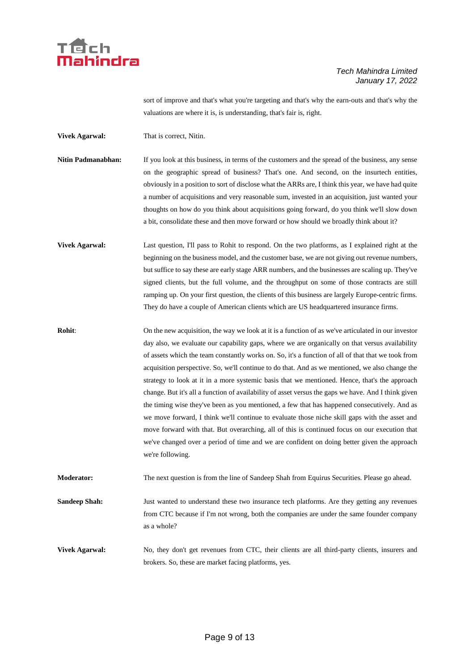

sort of improve and that's what you're targeting and that's why the earn-outs and that's why the valuations are where it is, is understanding, that's fair is, right.

**Vivek Agarwal:** That is correct, Nitin.

- **Nitin Padmanabhan:** If you look at this business, in terms of the customers and the spread of the business, any sense on the geographic spread of business? That's one. And second, on the insurtech entities, obviously in a position to sort of disclose what the ARRs are, I think this year, we have had quite a number of acquisitions and very reasonable sum, invested in an acquisition, just wanted your thoughts on how do you think about acquisitions going forward, do you think we'll slow down a bit, consolidate these and then move forward or how should we broadly think about it?
- **Vivek Agarwal:** Last question, I'll pass to Rohit to respond. On the two platforms, as I explained right at the beginning on the business model, and the customer base, we are not giving out revenue numbers, but suffice to say these are early stage ARR numbers, and the businesses are scaling up. They've signed clients, but the full volume, and the throughput on some of those contracts are still ramping up. On your first question, the clients of this business are largely Europe-centric firms. They do have a couple of American clients which are US headquartered insurance firms.
- **Rohit:** On the new acquisition, the way we look at it is a function of as we've articulated in our investor day also, we evaluate our capability gaps, where we are organically on that versus availability of assets which the team constantly works on. So, it's a function of all of that that we took from acquisition perspective. So, we'll continue to do that. And as we mentioned, we also change the strategy to look at it in a more systemic basis that we mentioned. Hence, that's the approach change. But it's all a function of availability of asset versus the gaps we have. And I think given the timing wise they've been as you mentioned, a few that has happened consecutively. And as we move forward, I think we'll continue to evaluate those niche skill gaps with the asset and move forward with that. But overarching, all of this is continued focus on our execution that we've changed over a period of time and we are confident on doing better given the approach we're following.

**Moderator:** The next question is from the line of Sandeep Shah from Equirus Securities. Please go ahead.

**Sandeep Shah:** Just wanted to understand these two insurance tech platforms. Are they getting any revenues from CTC because if I'm not wrong, both the companies are under the same founder company as a whole?

**Vivek Agarwal:** No, they don't get revenues from CTC, their clients are all third-party clients, insurers and brokers. So, these are market facing platforms, yes.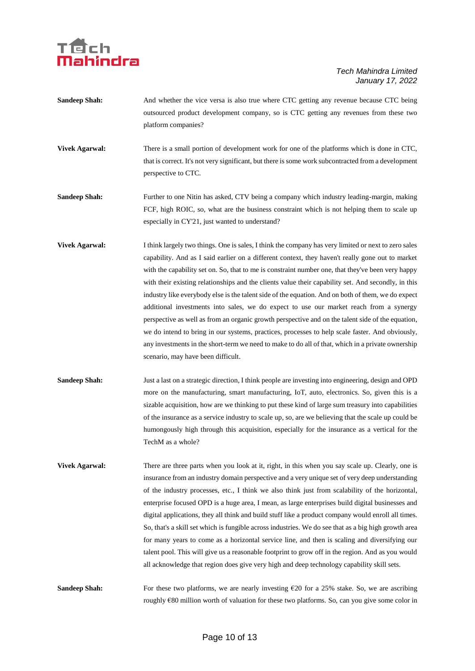## Téch<br>Mahindra

#### *Tech Mahindra Limited January 17, 2022*

| <b>Sandeep Shah:</b>  | And whether the vice versa is also true where CTC getting any revenue because CTC being<br>outsourced product development company, so is CTC getting any revenues from these two<br>platform companies?                                                                                                                                                                                                                                                                                                                                                                                                                                                                                                                                                                                                                                                                                                                                                                 |
|-----------------------|-------------------------------------------------------------------------------------------------------------------------------------------------------------------------------------------------------------------------------------------------------------------------------------------------------------------------------------------------------------------------------------------------------------------------------------------------------------------------------------------------------------------------------------------------------------------------------------------------------------------------------------------------------------------------------------------------------------------------------------------------------------------------------------------------------------------------------------------------------------------------------------------------------------------------------------------------------------------------|
| <b>Vivek Agarwal:</b> | There is a small portion of development work for one of the platforms which is done in CTC,<br>that is correct. It's not very significant, but there is some work subcontracted from a development<br>perspective to CTC.                                                                                                                                                                                                                                                                                                                                                                                                                                                                                                                                                                                                                                                                                                                                               |
| <b>Sandeep Shah:</b>  | Further to one Nitin has asked, CTV being a company which industry leading-margin, making<br>FCF, high ROIC, so, what are the business constraint which is not helping them to scale up<br>especially in CY'21, just wanted to understand?                                                                                                                                                                                                                                                                                                                                                                                                                                                                                                                                                                                                                                                                                                                              |
| <b>Vivek Agarwal:</b> | I think largely two things. One is sales, I think the company has very limited or next to zero sales<br>capability. And as I said earlier on a different context, they haven't really gone out to market<br>with the capability set on. So, that to me is constraint number one, that they've been very happy<br>with their existing relationships and the clients value their capability set. And secondly, in this<br>industry like everybody else is the talent side of the equation. And on both of them, we do expect<br>additional investments into sales, we do expect to use our market reach from a synergy<br>perspective as well as from an organic growth perspective and on the talent side of the equation,<br>we do intend to bring in our systems, practices, processes to help scale faster. And obviously,<br>any investments in the short-term we need to make to do all of that, which in a private ownership<br>scenario, may have been difficult. |
| <b>Sandeep Shah:</b>  | Just a last on a strategic direction, I think people are investing into engineering, design and OPD<br>more on the manufacturing, smart manufacturing, IoT, auto, electronics. So, given this is a<br>sizable acquisition, how are we thinking to put these kind of large sum treasury into capabilities<br>of the insurance as a service industry to scale up, so, are we believing that the scale up could be<br>humongously high through this acquisition, especially for the insurance as a vertical for the<br>TechM as a whole?                                                                                                                                                                                                                                                                                                                                                                                                                                   |
| <b>Vivek Agarwal:</b> | There are three parts when you look at it, right, in this when you say scale up. Clearly, one is<br>insurance from an industry domain perspective and a very unique set of very deep understanding<br>of the industry processes, etc., I think we also think just from scalability of the horizontal,<br>enterprise focused OPD is a huge area, I mean, as large enterprises build digital businesses and<br>digital applications, they all think and build stuff like a product company would enroll all times.<br>So, that's a skill set which is fungible across industries. We do see that as a big high growth area                                                                                                                                                                                                                                                                                                                                                |

all acknowledge that region does give very high and deep technology capability skill sets. Sandeep Shah: For these two platforms, we are nearly investing €20 for a 25% stake. So, we are ascribing

for many years to come as a horizontal service line, and then is scaling and diversifying our talent pool. This will give us a reasonable footprint to grow off in the region. And as you would

roughly €80 million worth of valuation for these two platforms. So, can you give some color in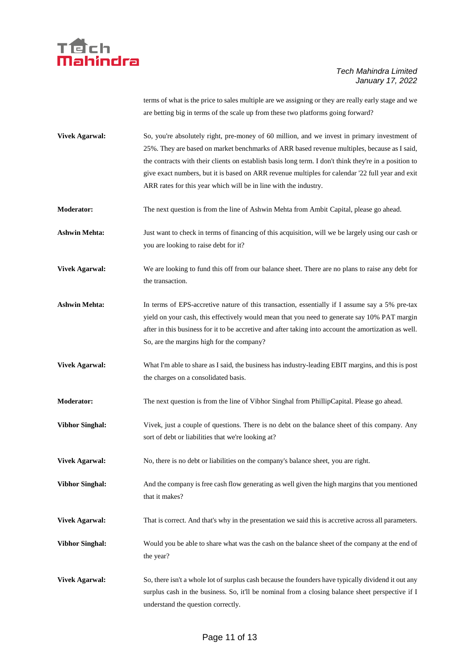

terms of what is the price to sales multiple are we assigning or they are really early stage and we are betting big in terms of the scale up from these two platforms going forward?

- **Vivek Agarwal:** So, you're absolutely right, pre-money of 60 million, and we invest in primary investment of 25%. They are based on market benchmarks of ARR based revenue multiples, because as I said, the contracts with their clients on establish basis long term. I don't think they're in a position to give exact numbers, but it is based on ARR revenue multiples for calendar '22 full year and exit ARR rates for this year which will be in line with the industry.
- **Moderator:** The next question is from the line of Ashwin Mehta from Ambit Capital, please go ahead.
- **Ashwin Mehta:** Just want to check in terms of financing of this acquisition, will we be largely using our cash or you are looking to raise debt for it?
- **Vivek Agarwal:** We are looking to fund this off from our balance sheet. There are no plans to raise any debt for the transaction.
- **Ashwin Mehta:** In terms of EPS-accretive nature of this transaction, essentially if I assume say a 5% pre-tax yield on your cash, this effectively would mean that you need to generate say 10% PAT margin after in this business for it to be accretive and after taking into account the amortization as well. So, are the margins high for the company?
- **Vivek Agarwal:** What I'm able to share as I said, the business has industry-leading EBIT margins, and this is post the charges on a consolidated basis.
- **Moderator:** The next question is from the line of Vibhor Singhal from PhillipCapital. Please go ahead.
- **Vibhor Singhal:** Vivek, just a couple of questions. There is no debt on the balance sheet of this company. Any sort of debt or liabilities that we're looking at?
- **Vivek Agarwal:** No, there is no debt or liabilities on the company's balance sheet, you are right.
- **Vibhor Singhal:** And the company is free cash flow generating as well given the high margins that you mentioned that it makes?
- **Vivek Agarwal:** That is correct. And that's why in the presentation we said this is accretive across all parameters.
- **Vibhor Singhal:** Would you be able to share what was the cash on the balance sheet of the company at the end of the year?
- **Vivek Agarwal:** So, there isn't a whole lot of surplus cash because the founders have typically dividend it out any surplus cash in the business. So, it'll be nominal from a closing balance sheet perspective if I understand the question correctly.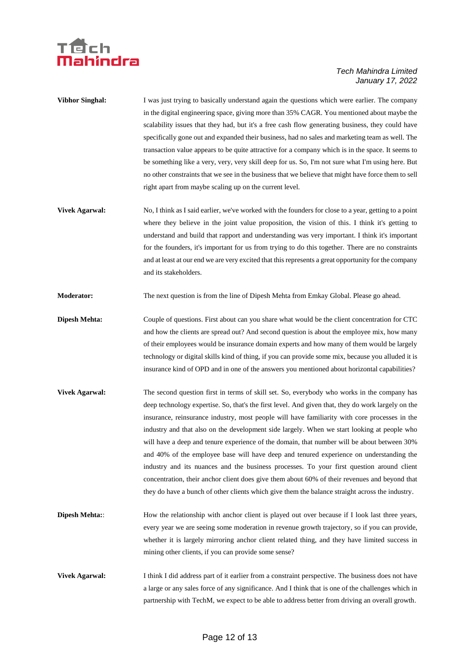

- **Vibhor Singhal:** I was just trying to basically understand again the questions which were earlier. The company in the digital engineering space, giving more than 35% CAGR. You mentioned about maybe the scalability issues that they had, but it's a free cash flow generating business, they could have specifically gone out and expanded their business, had no sales and marketing team as well. The transaction value appears to be quite attractive for a company which is in the space. It seems to be something like a very, very, very skill deep for us. So, I'm not sure what I'm using here. But no other constraints that we see in the business that we believe that might have force them to sell right apart from maybe scaling up on the current level.
- **Vivek Agarwal:** No, I think as I said earlier, we've worked with the founders for close to a year, getting to a point where they believe in the joint value proposition, the vision of this. I think it's getting to understand and build that rapport and understanding was very important. I think it's important for the founders, it's important for us from trying to do this together. There are no constraints and at least at our end we are very excited that this represents a great opportunity for the company and its stakeholders.
- **Moderator:** The next question is from the line of Dipesh Mehta from Emkay Global. Please go ahead.
- **Dipesh Mehta:** Couple of questions. First about can you share what would be the client concentration for CTC and how the clients are spread out? And second question is about the employee mix, how many of their employees would be insurance domain experts and how many of them would be largely technology or digital skills kind of thing, if you can provide some mix, because you alluded it is insurance kind of OPD and in one of the answers you mentioned about horizontal capabilities?
- **Vivek Agarwal:** The second question first in terms of skill set. So, everybody who works in the company has deep technology expertise. So, that's the first level. And given that, they do work largely on the insurance, reinsurance industry, most people will have familiarity with core processes in the industry and that also on the development side largely. When we start looking at people who will have a deep and tenure experience of the domain, that number will be about between 30% and 40% of the employee base will have deep and tenured experience on understanding the industry and its nuances and the business processes. To your first question around client concentration, their anchor client does give them about 60% of their revenues and beyond that they do have a bunch of other clients which give them the balance straight across the industry.
- **Dipesh Mehta::** How the relationship with anchor client is played out over because if I look last three years, every year we are seeing some moderation in revenue growth trajectory, so if you can provide, whether it is largely mirroring anchor client related thing, and they have limited success in mining other clients, if you can provide some sense?
- **Vivek Agarwal:** I think I did address part of it earlier from a constraint perspective. The business does not have a large or any sales force of any significance. And I think that is one of the challenges which in partnership with TechM, we expect to be able to address better from driving an overall growth.